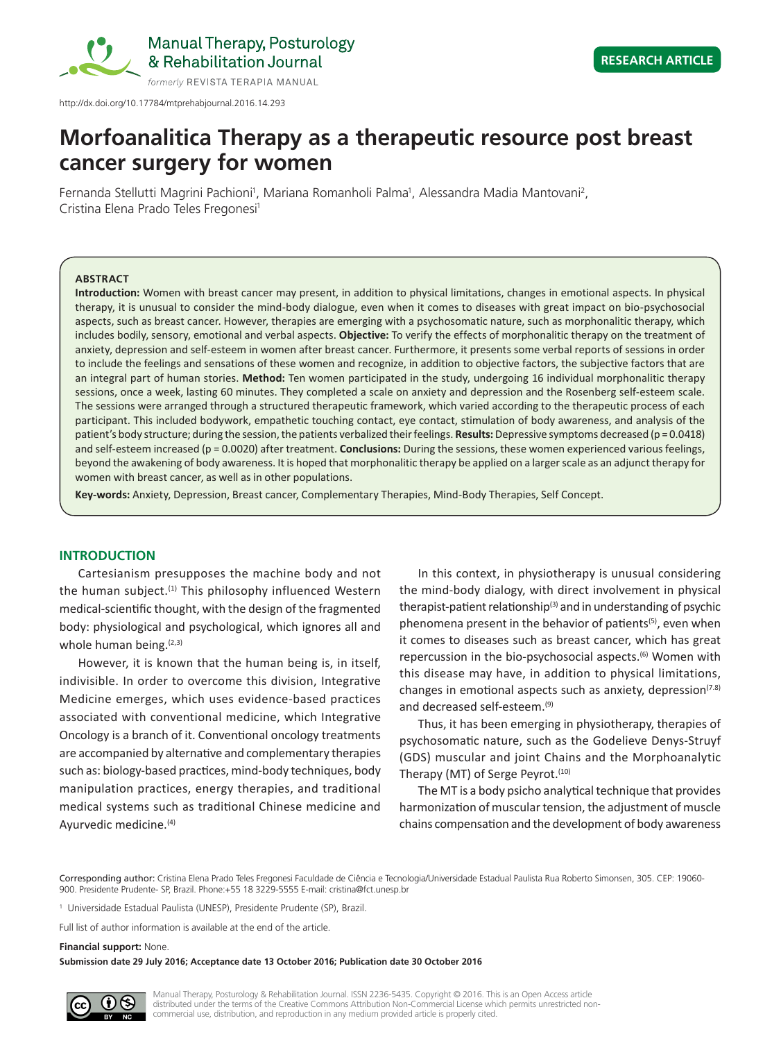

http://dx.doi.org/10.17784/mtprehabjournal.2016.14.293

# **Morfoanalitica Therapy as a therapeutic resource post breast cancer surgery for women**

Fernanda Stellutti Magrini Pachioni<sup>1</sup>, Mariana Romanholi Palma<sup>1</sup>, Alessandra Madia Mantovani<sup>2</sup>, Cristina Elena Prado Teles Fregonesi<sup>1</sup>

#### **ABSTRACT**

**Introduction:** Women with breast cancer may present, in addition to physical limitations, changes in emotional aspects. In physical therapy, it is unusual to consider the mind-body dialogue, even when it comes to diseases with great impact on bio-psychosocial aspects, such as breast cancer. However, therapies are emerging with a psychosomatic nature, such as morphonalitic therapy, which includes bodily, sensory, emotional and verbal aspects. **Objective:** To verify the effects of morphonalitic therapy on the treatment of anxiety, depression and self-esteem in women after breast cancer. Furthermore, it presents some verbal reports of sessions in order to include the feelings and sensations of these women and recognize, in addition to objective factors, the subjective factors that are an integral part of human stories. **Method:** Ten women participated in the study, undergoing 16 individual morphonalitic therapy sessions, once a week, lasting 60 minutes. They completed a scale on anxiety and depression and the Rosenberg self-esteem scale. The sessions were arranged through a structured therapeutic framework, which varied according to the therapeutic process of each participant. This included bodywork, empathetic touching contact, eye contact, stimulation of body awareness, and analysis of the patient's body structure; during the session, the patients verbalized their feelings. **Results:** Depressive symptoms decreased (p = 0.0418) and self-esteem increased (p = 0.0020) after treatment. **Conclusions:** During the sessions, these women experienced various feelings, beyond the awakening of body awareness. It is hoped that morphonalitic therapy be applied on a larger scale as an adjunct therapy for women with breast cancer, as well as in other populations.

**Key-words:** Anxiety, Depression, Breast cancer, Complementary Therapies, Mind-Body Therapies, Self Concept.

## **INTRODUCTION**

Cartesianism presupposes the machine body and not the human subject.<sup>(1)</sup> This philosophy influenced Western medical‑scientific thought, with the design of the fragmented body: physiological and psychological, which ignores all and whole human being. $(2,3)$ 

However, it is known that the human being is, in itself, indivisible. In order to overcome this division, Integrative Medicine emerges, which uses evidence-based practices associated with conventional medicine, which Integrative Oncology is a branch of it. Conventional oncology treatments are accompanied by alternative and complementary therapies such as: biology-based practices, mind-body techniques, body manipulation practices, energy therapies, and traditional medical systems such as traditional Chinese medicine and Ayurvedic medicine.<sup>(4)</sup>

In this context, in physiotherapy is unusual considering the mind-body dialogy, with direct involvement in physical therapist-patient relationship<sup>(3)</sup> and in understanding of psychic phenomena present in the behavior of patients<sup>(5)</sup>, even when it comes to diseases such as breast cancer, which has great repercussion in the bio-psychosocial aspects.<sup>(6)</sup> Women with this disease may have, in addition to physical limitations, changes in emotional aspects such as anxiety, depression $(7.8)$ and decreased self-esteem.<sup>(9)</sup>

Thus, it has been emerging in physiotherapy, therapies of psychosomatic nature, such as the Godelieve Denys-Struyf (GDS) muscular and joint Chains and the Morphoanalytic Therapy (MT) of Serge Peyrot.<sup>(10)</sup>

The MT is a body psicho analytical technique that provides harmonization of muscular tension, the adjustment of muscle chains compensation and the development of body awareness

1 Universidade Estadual Paulista (UNESP), Presidente Prudente (SP), Brazil.

#### **Financial support:** None.

**Submission date 29 July 2016; Acceptance date 13 October 2016; Publication date 30 October 2016**



Manual Therapy, Posturology & Rehabilitation Journal. ISSN 2236-5435. Copyright © 2016. This is an Open Access article distributed under the terms of the Creative Commons Attribution Non-Commercial License which permits unrestricted noncommercial use, distribution, and reproduction in any medium provided article is properly cited.

Corresponding author: Cristina Elena Prado Teles Fregonesi Faculdade de Ciência e Tecnologia/Universidade Estadual Paulista Rua Roberto Simonsen, 305. CEP: 19060- 900. Presidente Prudente- SP, Brazil. Phone:+55 18 3229-5555 E-mail: cristina@fct.unesp.br

Full list of author information is available at the end of the article.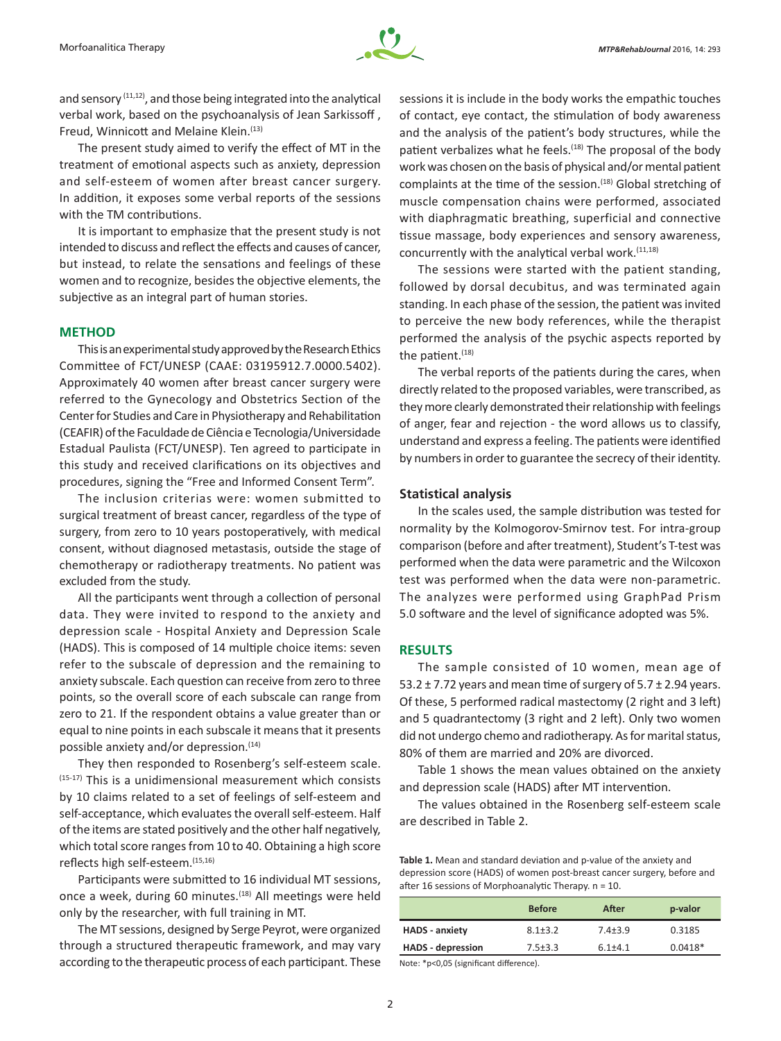

and sensory  $(11,12)$ , and those being integrated into the analytical verbal work, based on the psychoanalysis of Jean Sarkissoff , Freud, Winnicott and Melaine Klein.<sup>(13)</sup>

The present study aimed to verify the effect of MT in the treatment of emotional aspects such as anxiety, depression and self-esteem of women after breast cancer surgery. In addition, it exposes some verbal reports of the sessions with the TM contributions.

It is important to emphasize that the present study is not intended to discuss and reflect the effects and causes of cancer, but instead, to relate the sensations and feelings of these women and to recognize, besides the objective elements, the subjective as an integral part of human stories.

### **METHOD**

This is an experimental study approved by the Research Ethics Committee of FCT/UNESP (CAAE: 03195912.7.0000.5402). Approximately 40 women after breast cancer surgery were referred to the Gynecology and Obstetrics Section of the Center for Studies and Care in Physiotherapy and Rehabilitation (CEAFIR) of the Faculdade de Ciência e Tecnologia/Universidade Estadual Paulista (FCT/UNESP). Ten agreed to participate in this study and received clarifications on its objectives and procedures, signing the "Free and Informed Consent Term".

The inclusion criterias were: women submitted to surgical treatment of breast cancer, regardless of the type of surgery, from zero to 10 years postoperatively, with medical consent, without diagnosed metastasis, outside the stage of chemotherapy or radiotherapy treatments. No patient was excluded from the study.

All the participants went through a collection of personal data. They were invited to respond to the anxiety and depression scale - Hospital Anxiety and Depression Scale (HADS). This is composed of 14 multiple choice items: seven refer to the subscale of depression and the remaining to anxiety subscale. Each question can receive from zero to three points, so the overall score of each subscale can range from zero to 21. If the respondent obtains a value greater than or equal to nine points in each subscale it means that it presents possible anxiety and/or depression.<sup>(14)</sup>

They then responded to Rosenberg's self-esteem scale. (15-17) This is a unidimensional measurement which consists by 10 claims related to a set of feelings of self-esteem and self-acceptance, which evaluates the overall self-esteem. Half of the items are stated positively and the other half negatively, which total score ranges from 10 to 40. Obtaining a high score reflects high self-esteem. (15,16)

Participants were submitted to 16 individual MT sessions, once a week, during 60 minutes.<sup>(18)</sup> All meetings were held only by the researcher, with full training in MT.

The MT sessions, designed by Serge Peyrot, were organized through a structured therapeutic framework, and may vary according to the therapeutic process of each participant. These

sessions it is include in the body works the empathic touches of contact, eye contact, the stimulation of body awareness and the analysis of the patient's body structures, while the patient verbalizes what he feels.<sup>(18)</sup> The proposal of the body work was chosen on the basis of physical and/or mental patient complaints at the time of the session.<sup>(18)</sup> Global stretching of muscle compensation chains were performed, associated with diaphragmatic breathing, superficial and connective tissue massage, body experiences and sensory awareness, concurrently with the analytical verbal work.(11,18)

The sessions were started with the patient standing, followed by dorsal decubitus, and was terminated again standing. In each phase of the session, the patient was invited to perceive the new body references, while the therapist performed the analysis of the psychic aspects reported by the patient.<sup>(18)</sup>

The verbal reports of the patients during the cares, when directly related to the proposed variables, were transcribed, as they more clearly demonstrated their relationship with feelings of anger, fear and rejection - the word allows us to classify, understand and express a feeling. The patients were identified by numbers in order to guarantee the secrecy of their identity.

### **Statistical analysis**

In the scales used, the sample distribution was tested for normality by the Kolmogorov-Smirnov test. For intra-group comparison (before and after treatment), Student's T-test was performed when the data were parametric and the Wilcoxon test was performed when the data were non-parametric. The analyzes were performed using GraphPad Prism 5.0 software and the level of significance adopted was 5%.

## **RESULTS**

The sample consisted of 10 women, mean age of 53.2  $\pm$  7.72 years and mean time of surgery of 5.7  $\pm$  2.94 years. Of these, 5 performed radical mastectomy (2 right and 3 left) and 5 quadrantectomy (3 right and 2 left). Only two women did not undergo chemo and radiotherapy. As for marital status, 80% of them are married and 20% are divorced.

Table 1 shows the mean values obtained on the anxiety and depression scale (HADS) after MT intervention.

The values obtained in the Rosenberg self-esteem scale are described in Table 2.

**Table 1.** Mean and standard deviation and p-value of the anxiety and depression score (HADS) of women post-breast cancer surgery, before and after 16 sessions of Morphoanalytic Therapy. n = 10.

|                          | <b>Before</b> | After       | p-valor   |
|--------------------------|---------------|-------------|-----------|
| <b>HADS</b> - anxiety    | $8.1 + 3.2$   | $7.4 + 3.9$ | 0.3185    |
| <b>HADS</b> - depression | $7.5 \pm 3.3$ | $6.1 + 4.1$ | $0.0418*$ |

Note: \*p<0,05 (significant difference).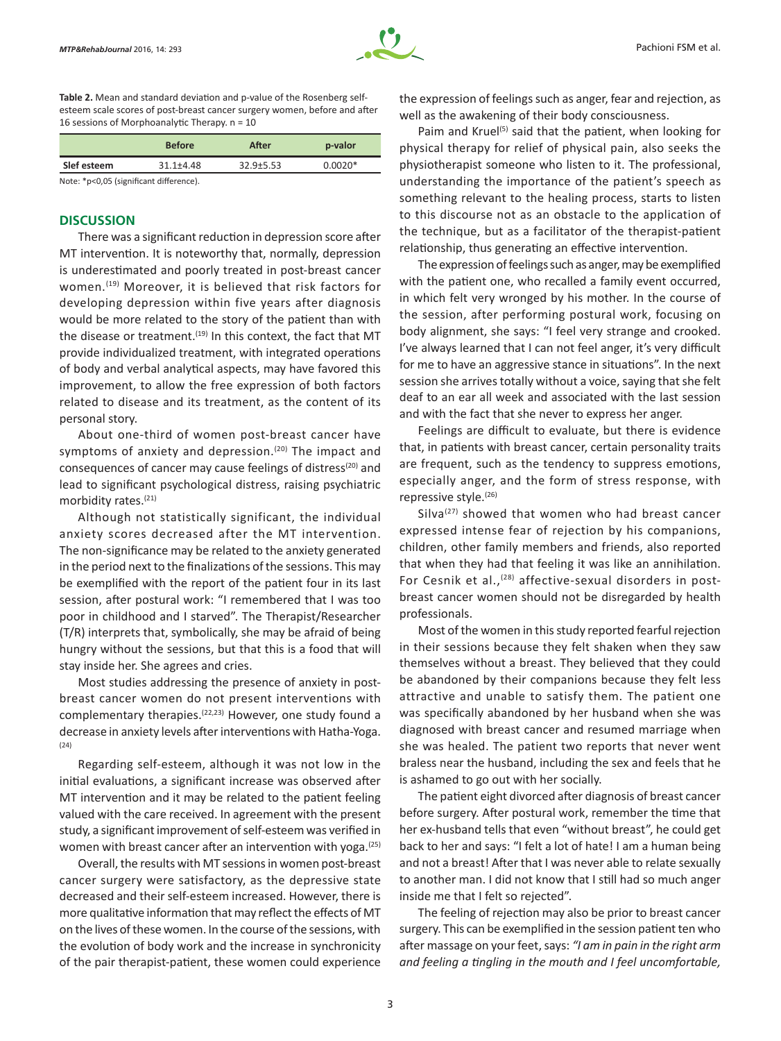

**Table 2.** Mean and standard deviation and p-value of the Rosenberg selfesteem scale scores of post-breast cancer surgery women, before and after 16 sessions of Morphoanalytic Therapy. n = 10

|             | <b>Before</b> | After         | p-valor   |
|-------------|---------------|---------------|-----------|
| Slef esteem | $31.1 + 4.48$ | $32.9 + 5.53$ | $0.0020*$ |
|             |               |               |           |

Note: \*p<0,05 (significant difference).

#### **DISCUSSION**

There was a significant reduction in depression score after MT intervention. It is noteworthy that, normally, depression is underestimated and poorly treated in post-breast cancer women.<sup>(19)</sup> Moreover, it is believed that risk factors for developing depression within five years after diagnosis would be more related to the story of the patient than with the disease or treatment.<sup>(19)</sup> In this context, the fact that MT provide individualized treatment, with integrated operations of body and verbal analytical aspects, may have favored this improvement, to allow the free expression of both factors related to disease and its treatment, as the content of its personal story.

About one-third of women post-breast cancer have symptoms of anxiety and depression. $(20)$  The impact and consequences of cancer may cause feelings of distress(20) and lead to significant psychological distress, raising psychiatric morbidity rates.(21)

Although not statistically significant, the individual anxiety scores decreased after the MT intervention. The non-significance may be related to the anxiety generated in the period next to the finalizations of the sessions. This may be exemplified with the report of the patient four in its last session, after postural work: "I remembered that I was too poor in childhood and I starved". The Therapist/Researcher (T/R) interprets that, symbolically, she may be afraid of being hungry without the sessions, but that this is a food that will stay inside her. She agrees and cries.

Most studies addressing the presence of anxiety in postbreast cancer women do not present interventions with complementary therapies.(22,23) However, one study found a decrease in anxiety levels after interventions with Hatha‑Yoga. (24)

Regarding self-esteem, although it was not low in the initial evaluations, a significant increase was observed after MT intervention and it may be related to the patient feeling valued with the care received. In agreement with the present study, a significant improvement of self-esteem was verified in women with breast cancer after an intervention with yoga. $(25)$ 

Overall, the results with MT sessions in women post-breast cancer surgery were satisfactory, as the depressive state decreased and their self-esteem increased. However, there is more qualitative information that may reflect the effects of MT on the lives of these women. In the course of the sessions, with the evolution of body work and the increase in synchronicity of the pair therapist-patient, these women could experience the expression of feelings such as anger, fear and rejection, as well as the awakening of their body consciousness.

Paim and Kruel<sup>(5)</sup> said that the patient, when looking for physical therapy for relief of physical pain, also seeks the physiotherapist someone who listen to it. The professional, understanding the importance of the patient's speech as something relevant to the healing process, starts to listen to this discourse not as an obstacle to the application of the technique, but as a facilitator of the therapist-patient relationship, thus generating an effective intervention.

The expression of feelings such as anger, may be exemplified with the patient one, who recalled a family event occurred, in which felt very wronged by his mother. In the course of the session, after performing postural work, focusing on body alignment, she says: "I feel very strange and crooked. I've always learned that I can not feel anger, it's very difficult for me to have an aggressive stance in situations". In the next session she arrives totally without a voice, saying that she felt deaf to an ear all week and associated with the last session and with the fact that she never to express her anger.

Feelings are difficult to evaluate, but there is evidence that, in patients with breast cancer, certain personality traits are frequent, such as the tendency to suppress emotions, especially anger, and the form of stress response, with repressive style.<sup>(26)</sup>

Silva $(27)$  showed that women who had breast cancer expressed intense fear of rejection by his companions, children, other family members and friends, also reported that when they had that feeling it was like an annihilation. For Cesnik et al.,<sup>(28)</sup> affective-sexual disorders in postbreast cancer women should not be disregarded by health professionals.

Most of the women in this study reported fearful rejection in their sessions because they felt shaken when they saw themselves without a breast. They believed that they could be abandoned by their companions because they felt less attractive and unable to satisfy them. The patient one was specifically abandoned by her husband when she was diagnosed with breast cancer and resumed marriage when she was healed. The patient two reports that never went braless near the husband, including the sex and feels that he is ashamed to go out with her socially.

The patient eight divorced after diagnosis of breast cancer before surgery. After postural work, remember the time that her ex-husband tells that even "without breast", he could get back to her and says: "I felt a lot of hate! I am a human being and not a breast! After that I was never able to relate sexually to another man. I did not know that I still had so much anger inside me that I felt so rejected".

The feeling of rejection may also be prior to breast cancer surgery. This can be exemplified in the session patient ten who after massage on your feet, says: *"I am in pain in the right arm and feeling a tingling in the mouth and I feel uncomfortable,*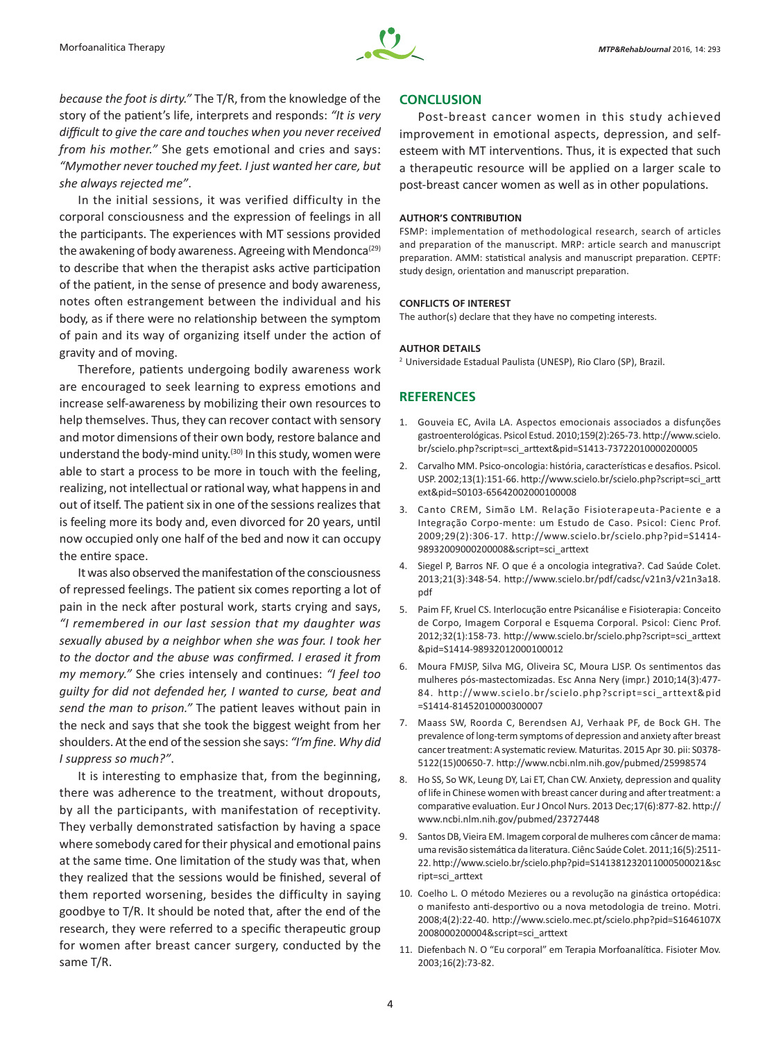

*because the foot is dirty."* The T/R, from the knowledge of the story of the patient's life, interprets and responds: *"It is very difficult to give the care and touches when you never received from his mother."* She gets emotional and cries and says: *"Mymother never touched my feet. I just wanted her care, but she always rejected me"*.

In the initial sessions, it was verified difficulty in the corporal consciousness and the expression of feelings in all the participants. The experiences with MT sessions provided the awakening of body awareness. Agreeing with Mendonca<sup>(29)</sup> to describe that when the therapist asks active participation of the patient, in the sense of presence and body awareness, notes often estrangement between the individual and his body, as if there were no relationship between the symptom of pain and its way of organizing itself under the action of gravity and of moving.

Therefore, patients undergoing bodily awareness work are encouraged to seek learning to express emotions and increase self-awareness by mobilizing their own resources to help themselves. Thus, they can recover contact with sensory and motor dimensions of their own body, restore balance and understand the body-mind unity.<sup>(30)</sup> In this study, women were able to start a process to be more in touch with the feeling, realizing, not intellectual or rational way, what happens in and out of itself. The patient six in one of the sessions realizes that is feeling more its body and, even divorced for 20 years, until now occupied only one half of the bed and now it can occupy the entire space.

It was also observed the manifestation of the consciousness of repressed feelings. The patient six comes reporting a lot of pain in the neck after postural work, starts crying and says, *"I remembered in our last session that my daughter was sexually abused by a neighbor when she was four. I took her to the doctor and the abuse was confirmed. I erased it from my memory."* She cries intensely and continues: *"I feel too guilty for did not defended her, I wanted to curse, beat and send the man to prison."* The patient leaves without pain in the neck and says that she took the biggest weight from her shoulders. At the end of the session she says: *"I'm fine. Why did I suppress so much?"*.

It is interesting to emphasize that, from the beginning, there was adherence to the treatment, without dropouts, by all the participants, with manifestation of receptivity. They verbally demonstrated satisfaction by having a space where somebody cared for their physical and emotional pains at the same time. One limitation of the study was that, when they realized that the sessions would be finished, several of them reported worsening, besides the difficulty in saying goodbye to T/R. It should be noted that, after the end of the research, they were referred to a specific therapeutic group for women after breast cancer surgery, conducted by the same T/R.

## **CONCLUSION**

Post-breast cancer women in this study achieved improvement in emotional aspects, depression, and selfesteem with MT interventions. Thus, it is expected that such a therapeutic resource will be applied on a larger scale to post-breast cancer women as well as in other populations.

#### **AUTHOR'S CONTRIBUTION**

FSMP: implementation of methodological research, search of articles and preparation of the manuscript. MRP: article search and manuscript preparation. AMM: statistical analysis and manuscript preparation. CEPTF: study design, orientation and manuscript preparation.

#### **CONFLICTS OF INTEREST**

The author(s) declare that they have no competing interests.

#### **AUTHOR DETAILS**

<sup>2</sup> Universidade Estadual Paulista (UNESP), Rio Claro (SP), Brazil.

## **REFERENCES**

- 1. Gouveia EC, Avila LA. Aspectos emocionais associados a disfunções gastroenterológicas. Psicol Estud. 2010;159(2):265-73. http://www.scielo. br/scielo.php?script=sci\_arttext&pid=S1413-73722010000200005
- 2. Carvalho MM. Psico-oncologia: história, características e desafios. Psicol. USP. 2002;13(1):151-66. http://www.scielo.br/scielo.php?script=sci\_artt ext&pid=S0103-65642002000100008
- 3. Canto CREM, Simão LM. Relação Fisioterapeuta-Paciente e a Integração Corpo-mente: um Estudo de Caso. Psicol: Cienc Prof. 2009;29(2):306-17. http://www.scielo.br/scielo.php?pid=S1414-98932009000200008&script=sci\_arttext
- 4. Siegel P, Barros NF. O que é a oncologia integrativa?. Cad Saúde Colet. 2013;21(3):348-54. http://www.scielo.br/pdf/cadsc/v21n3/v21n3a18. pdf
- 5. Paim FF, Kruel CS. Interlocução entre Psicanálise e Fisioterapia: Conceito de Corpo, Imagem Corporal e Esquema Corporal. Psicol: Cienc Prof. 2012;32(1):158-73. http://www.scielo.br/scielo.php?script=sci\_arttext &pid=S1414-98932012000100012
- 6. Moura FMJSP, Silva MG, Oliveira SC, Moura LJSP. Os sentimentos das mulheres pós-mastectomizadas. Esc Anna Nery (impr.) 2010;14(3):477-84. http://www.scielo.br/scielo.php?script=sci\_arttext&pid =S1414-81452010000300007
- 7. Maass SW, Roorda C, Berendsen AJ, Verhaak PF, de Bock GH. The prevalence of long-term symptoms of depression and anxiety after breast cancer treatment: A systematic review. Maturitas. 2015 Apr 30. pii: S0378-5122(15)00650-7. http://www.ncbi.nlm.nih.gov/pubmed/25998574
- 8. Ho SS, So WK, Leung DY, Lai ET, Chan CW. Anxiety, depression and quality of life in Chinese women with breast cancer during and after treatment: a comparative evaluation. Eur J Oncol Nurs. 2013 Dec;17(6):877-82. http:// www.ncbi.nlm.nih.gov/pubmed/23727448
- 9. Santos DB, Vieira EM. Imagem corporal de mulheres com câncer de mama: uma revisão sistemática da literatura. Ciênc Saúde Colet. 2011;16(5):2511-22. http://www.scielo.br/scielo.php?pid=S141381232011000500021&sc ript=sci\_arttext
- 10. Coelho L. O método Mezieres ou a revolução na ginástica ortopédica: o manifesto anti-desportivo ou a nova metodologia de treino. Motri. 2008;4(2):22-40. http://www.scielo.mec.pt/scielo.php?pid=S1646107X 2008000200004&script=sci\_arttext
- 11. Diefenbach N. O "Eu corporal" em Terapia Morfoanalítica. Fisioter Mov. 2003;16(2):73-82.